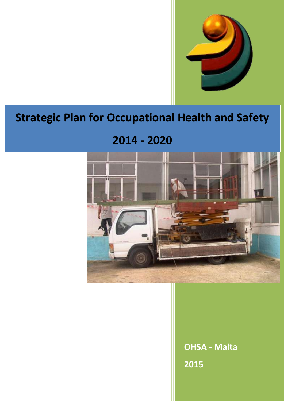

# **Strategic Plan for Occupational Health and Safety**

## **2014 - 2020**



**OHSA - Malta 2015**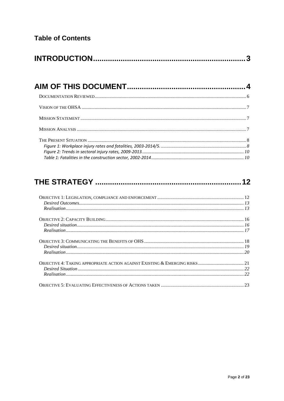|--|--|

## 

| ${\small \begin{array}{c} {\bf{O}BJECTIVE\ 1: LEGISLATION, COMPLIANCE AND ENFORCEMENT} \end{array}} {\small \begin{array}{c} {\bf{D}esired\ Outcomes} \end{array}} {\small \begin{array}{c} {\bf{D}esired\ Outcomes} \end{array}} {\small \begin{array}{c} {\bf{D}esired\ Outcomes} \end{array}} {\small \begin{array}{c} {\bf{D}esired\ Outcomes} \end{array}} {\small \begin{array}{c} {\bf{D}esired\ Outcomes} \end{array}} {\small \begin{array}{c} {\bf{D}esired\ Outcomes} \end{array}} {\small \begin{array}{c} {\bf{D}esired\ Outcomes} \end{array}} {\small \$ |  |
|-------------------------------------------------------------------------------------------------------------------------------------------------------------------------------------------------------------------------------------------------------------------------------------------------------------------------------------------------------------------------------------------------------------------------------------------------------------------------------------------------------------------------------------------------------------------------|--|
|                                                                                                                                                                                                                                                                                                                                                                                                                                                                                                                                                                         |  |
|                                                                                                                                                                                                                                                                                                                                                                                                                                                                                                                                                                         |  |
|                                                                                                                                                                                                                                                                                                                                                                                                                                                                                                                                                                         |  |
|                                                                                                                                                                                                                                                                                                                                                                                                                                                                                                                                                                         |  |
|                                                                                                                                                                                                                                                                                                                                                                                                                                                                                                                                                                         |  |
|                                                                                                                                                                                                                                                                                                                                                                                                                                                                                                                                                                         |  |
|                                                                                                                                                                                                                                                                                                                                                                                                                                                                                                                                                                         |  |
|                                                                                                                                                                                                                                                                                                                                                                                                                                                                                                                                                                         |  |
|                                                                                                                                                                                                                                                                                                                                                                                                                                                                                                                                                                         |  |
|                                                                                                                                                                                                                                                                                                                                                                                                                                                                                                                                                                         |  |
|                                                                                                                                                                                                                                                                                                                                                                                                                                                                                                                                                                         |  |
|                                                                                                                                                                                                                                                                                                                                                                                                                                                                                                                                                                         |  |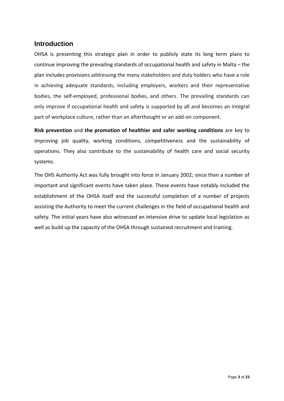## <span id="page-2-0"></span>**Introduction**

OHSA is presenting this strategic plan in order to publicly state its long term plans to continue improving the prevailing standards of occupational health and safety in Malta – the plan includes provisions addressing the many stakeholders and duty holders who have a role in achieving adequate standards, including employers, workers and their representative bodies, the self-employed, professional bodies, and others. The prevailing standards can only improve if occupational health and safety is supported by all and becomes an integral part of workplace culture, rather than an afterthought or an add-on component.

**Risk prevention** and **the promotion of healthier and safer working conditions** are key to improving job quality, working conditions, competitiveness and the sustainability of operations. They also contribute to the sustainability of health care and social security systems.

The OHS Authority Act was fully brought into force in January 2002; since then a number of important and significant events have taken place. These events have notably included the establishment of the OHSA itself and the successful completion of a number of projects assisting the Authority to meet the current challenges in the field of occupational health and safety. The initial years have also witnessed an intensive drive to update local legislation as well as build up the capacity of the OHSA through sustained recruitment and training.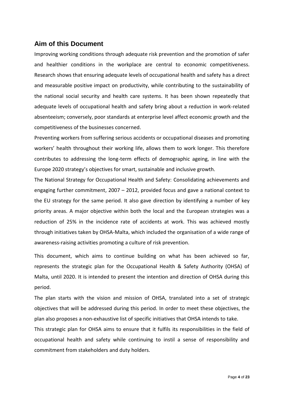## <span id="page-3-0"></span>**Aim of this Document**

Improving working conditions through adequate risk prevention and the promotion of safer and healthier conditions in the workplace are central to economic competitiveness. Research shows that ensuring adequate levels of occupational health and safety has a direct and measurable positive impact on productivity, while contributing to the sustainability of the national social security and health care systems. It has been shown repeatedly that adequate levels of occupational health and safety bring about a reduction in work-related absenteeism; conversely, poor standards at enterprise level affect economic growth and the competitiveness of the businesses concerned.

Preventing workers from suffering serious accidents or occupational diseases and promoting workers' health throughout their working life, allows them to work longer. This therefore contributes to addressing the long-term effects of demographic ageing, in line with the Europe 2020 strategy's objectives for smart, sustainable and inclusive growth.

The National Strategy for Occupational Health and Safety: Consolidating achievements and engaging further commitment, 2007 – 2012, provided focus and gave a national context to the EU strategy for the same period. It also gave direction by identifying a number of key priority areas. A major objective within both the local and the European strategies was a reduction of 25% in the incidence rate of accidents at work. This was achieved mostly through initiatives taken by OHSA-Malta, which included the organisation of a wide range of awareness-raising activities promoting a culture of risk prevention.

This document, which aims to continue building on what has been achieved so far, represents the strategic plan for the Occupational Health & Safety Authority (OHSA) of Malta, until 2020. It is intended to present the intention and direction of OHSA during this period.

The plan starts with the vision and mission of OHSA, translated into a set of strategic objectives that will be addressed during this period. In order to meet these objectives, the plan also proposes a non-exhaustive list of specific initiatives that OHSA intends to take.

This strategic plan for OHSA aims to ensure that it fulfils its responsibilities in the field of occupational health and safety while continuing to instil a sense of responsibility and commitment from stakeholders and duty holders.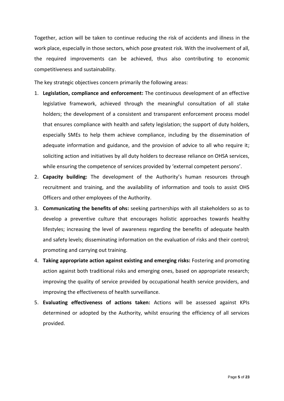Together, action will be taken to continue reducing the risk of accidents and illness in the work place, especially in those sectors, which pose greatest risk. With the involvement of all, the required improvements can be achieved, thus also contributing to economic competitiveness and sustainability.

The key strategic objectives concern primarily the following areas:

- 1. **Legislation, compliance and enforcement:** The continuous development of an effective legislative framework, achieved through the meaningful consultation of all stake holders; the development of a consistent and transparent enforcement process model that ensures compliance with health and safety legislation; the support of duty holders, especially SMEs to help them achieve compliance, including by the dissemination of adequate information and guidance, and the provision of advice to all who require it; soliciting action and initiatives by all duty holders to decrease reliance on OHSA services, while ensuring the competence of services provided by 'external competent persons'.
- 2. **Capacity building:** The development of the Authority's human resources through recruitment and training, and the availability of information and tools to assist OHS Officers and other employees of the Authority.
- 3. **Communicating the benefits of ohs:** seeking partnerships with all stakeholders so as to develop a preventive culture that encourages holistic approaches towards healthy lifestyles; increasing the level of awareness regarding the benefits of adequate health and safety levels; disseminating information on the evaluation of risks and their control; promoting and carrying out training.
- 4. **Taking appropriate action against existing and emerging risks:** Fostering and promoting action against both traditional risks and emerging ones, based on appropriate research; improving the quality of service provided by occupational health service providers, and improving the effectiveness of health surveillance.
- 5. **Evaluating effectiveness of actions taken:** Actions will be assessed against KPIs determined or adopted by the Authority, whilst ensuring the efficiency of all services provided.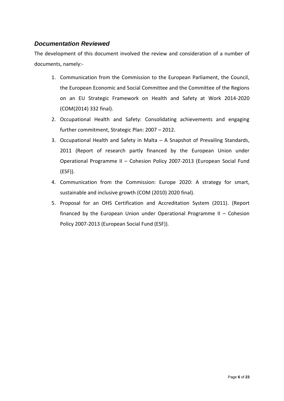## <span id="page-5-0"></span>*Documentation Reviewed*

The development of this document involved the review and consideration of a number of documents, namely:-

- 1. Communication from the Commission to the European Parliament, the Council, the European Economic and Social Committee and the Committee of the Regions on an EU Strategic Framework on Health and Safety at Work 2014-2020 (COM(2014) 332 final).
- 2. Occupational Health and Safety: Consolidating achievements and engaging further commitment, Strategic Plan: 2007 – 2012.
- 3. Occupational Health and Safety in Malta A Snapshot of Prevailing Standards, 2011 (Report of research partly financed by the European Union under Operational Programme II – Cohesion Policy 2007-2013 (European Social Fund (ESF)).
- 4. Communication from the Commission: Europe 2020: A strategy for smart, sustainable and inclusive growth (COM (2010) 2020 final).
- 5. Proposal for an OHS Certification and Accreditation System (2011). (Report financed by the European Union under Operational Programme II – Cohesion Policy 2007-2013 (European Social Fund (ESF)).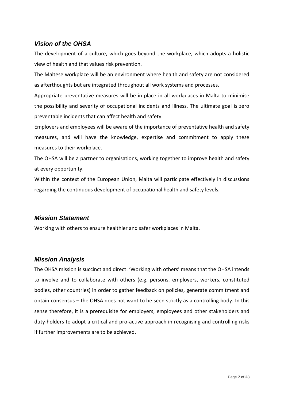## <span id="page-6-0"></span>*Vision of the OHSA*

The development of a culture, which goes beyond the workplace, which adopts a holistic view of health and that values risk prevention.

The Maltese workplace will be an environment where health and safety are not considered as afterthoughts but are integrated throughout all work systems and processes.

Appropriate preventative measures will be in place in all workplaces in Malta to minimise the possibility and severity of occupational incidents and illness. The ultimate goal is zero preventable incidents that can affect health and safety.

Employers and employees will be aware of the importance of preventative health and safety measures, and will have the knowledge, expertise and commitment to apply these measures to their workplace.

The OHSA will be a partner to organisations, working together to improve health and safety at every opportunity.

Within the context of the European Union, Malta will participate effectively in discussions regarding the continuous development of occupational health and safety levels.

#### <span id="page-6-1"></span>*Mission Statement*

Working with others to ensure healthier and safer workplaces in Malta.

### <span id="page-6-2"></span>*Mission Analysis*

The OHSA mission is succinct and direct: 'Working with others' means that the OHSA intends to involve and to collaborate with others (e.g. persons, employers, workers, constituted bodies, other countries) in order to gather feedback on policies, generate commitment and obtain consensus – the OHSA does not want to be seen strictly as a controlling body. In this sense therefore, it is a prerequisite for employers, employees and other stakeholders and duty-holders to adopt a critical and pro-active approach in recognising and controlling risks if further improvements are to be achieved.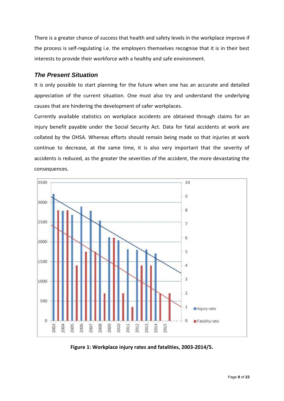There is a greater chance of success that health and safety levels in the workplace improve if the process is self-regulating i.e. the employers themselves recognise that it is in their best interests to provide their workforce with a healthy and safe environment.

#### <span id="page-7-0"></span>*The Present Situation*

It is only possible to start planning for the future when one has an accurate and detailed appreciation of the current situation. One must also try and understand the underlying causes that are hindering the development of safer workplaces.

Currently available statistics on workplace accidents are obtained through claims for an injury benefit payable under the Social Security Act. Data for fatal accidents at work are collated by the OHSA. Whereas efforts should remain being made so that injuries at work continue to decrease, at the same time, it is also very important that the severity of accidents is reduced, as the greater the severities of the accident, the more devastating the consequences.



<span id="page-7-1"></span>**Figure 1: Workplace injury rates and fatalities, 2003-2014/5.**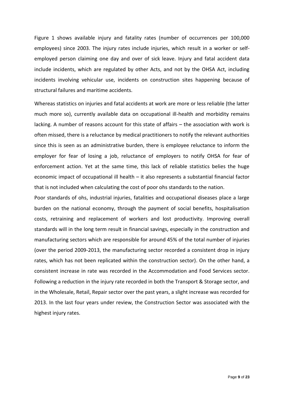Figure 1 shows available injury and fatality rates (number of occurrences per 100,000 employees) since 2003. The injury rates include injuries, which result in a worker or selfemployed person claiming one day and over of sick leave. Injury and fatal accident data include incidents, which are regulated by other Acts, and not by the OHSA Act, including incidents involving vehicular use, incidents on construction sites happening because of structural failures and maritime accidents.

Whereas statistics on injuries and fatal accidents at work are more or less reliable (the latter much more so), currently available data on occupational ill-health and morbidity remains lacking. A number of reasons account for this state of affairs – the association with work is often missed, there is a reluctance by medical practitioners to notify the relevant authorities since this is seen as an administrative burden, there is employee reluctance to inform the employer for fear of losing a job, reluctance of employers to notify OHSA for fear of enforcement action. Yet at the same time, this lack of reliable statistics belies the huge economic impact of occupational ill health – it also represents a substantial financial factor that is not included when calculating the cost of poor ohs standards to the nation.

Poor standards of ohs, industrial injuries, fatalities and occupational diseases place a large burden on the national economy, through the payment of social benefits, hospitalisation costs, retraining and replacement of workers and lost productivity. Improving overall standards will in the long term result in financial savings, especially in the construction and manufacturing sectors which are responsible for around 45% of the total number of injuries (over the period 2009-2013, the manufacturing sector recorded a consistent drop in injury rates, which has not been replicated within the construction sector). On the other hand, a consistent increase in rate was recorded in the Accommodation and Food Services sector. Following a reduction in the injury rate recorded in both the Transport & Storage sector, and in the Wholesale, Retail, Repair sector over the past years, a slight increase was recorded for 2013. In the last four years under review, the Construction Sector was associated with the highest injury rates.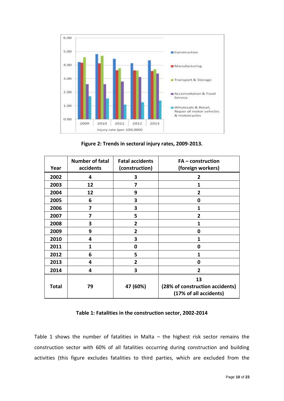

**Figure 2: Trends in sectoral injury rates, 2009-2013.**

<span id="page-9-0"></span>

| Year         | <b>Number of fatal</b><br>accidents | <b>Fatal accidents</b><br>(construction) | $FA$ – construction<br>(foreign workers)                        |
|--------------|-------------------------------------|------------------------------------------|-----------------------------------------------------------------|
| 2002         | 4                                   | 3                                        | 2                                                               |
| 2003         | 12                                  | 7                                        | 1                                                               |
| 2004         | 12                                  | 9                                        | $\overline{2}$                                                  |
| 2005         | 6                                   | 3                                        | 0                                                               |
| 2006         | 7                                   | 3                                        | 1                                                               |
| 2007         | 7                                   | 5                                        | 2                                                               |
| 2008         | 3                                   | 2                                        | 1                                                               |
| 2009         | 9                                   | 2                                        | 0                                                               |
| 2010         | 4                                   | 3                                        | 1                                                               |
| 2011         | 1                                   | 0                                        | 0                                                               |
| 2012         | 6                                   | 5                                        | 1                                                               |
| 2013         | 4                                   | $\mathbf{2}$                             | 0                                                               |
| 2014         | 4                                   | 3                                        | $\overline{2}$                                                  |
| <b>Total</b> | 79                                  | 47 (60%)                                 | 13<br>(28% of construction accidents)<br>(17% of all accidents) |

#### **Table 1: Fatalities in the construction sector, 2002-2014**

<span id="page-9-1"></span>Table 1 shows the number of fatalities in Malta – the highest risk sector remains the construction sector with 60% of all fatalities occurring during construction and building activities (this figure excludes fatalities to third parties, which are excluded from the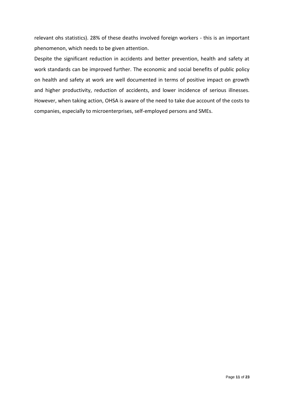relevant ohs statistics). 28% of these deaths involved foreign workers - this is an important phenomenon, which needs to be given attention.

Despite the significant reduction in accidents and better prevention, health and safety at work standards can be improved further. The economic and social benefits of public policy on health and safety at work are well documented in terms of positive impact on growth and higher productivity, reduction of accidents, and lower incidence of serious illnesses. However, when taking action, OHSA is aware of the need to take due account of the costs to companies, especially to microenterprises, self-employed persons and SMEs.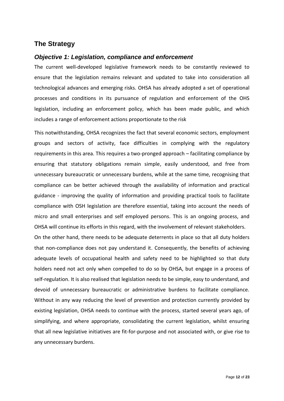## <span id="page-11-0"></span>**The Strategy**

#### <span id="page-11-1"></span>*Objective 1: Legislation, compliance and enforcement*

The current well-developed legislative framework needs to be constantly reviewed to ensure that the legislation remains relevant and updated to take into consideration all technological advances and emerging risks. OHSA has already adopted a set of operational processes and conditions in its pursuance of regulation and enforcement of the OHS legislation, including an enforcement policy, which has been made public, and which includes a range of enforcement actions proportionate to the risk

This notwithstanding, OHSA recognizes the fact that several economic sectors, employment groups and sectors of activity, face difficulties in complying with the regulatory requirements in this area. This requires a two-pronged approach – facilitating compliance by ensuring that statutory obligations remain simple, easily understood, and free from unnecessary bureaucratic or unnecessary burdens, while at the same time, recognising that compliance can be better achieved through the availability of information and practical guidance - improving the quality of information and providing practical tools to facilitate compliance with OSH legislation are therefore essential, taking into account the needs of micro and small enterprises and self employed persons. This is an ongoing process, and OHSA will continue its efforts in this regard, with the involvement of relevant stakeholders.

On the other hand, there needs to be adequate deterrents in place so that all duty holders that non-compliance does not pay understand it. Consequently, the benefits of achieving adequate levels of occupational health and safety need to be highlighted so that duty holders need not act only when compelled to do so by OHSA, but engage in a process of self-regulation. It is also realised that legislation needs to be simple, easy to understand, and devoid of unnecessary bureaucratic or administrative burdens to facilitate compliance. Without in any way reducing the level of prevention and protection currently provided by existing legislation, OHSA needs to continue with the process, started several years ago, of simplifying, and where appropriate, consolidating the current legislation, whilst ensuring that all new legislative initiatives are fit-for-purpose and not associated with, or give rise to any unnecessary burdens.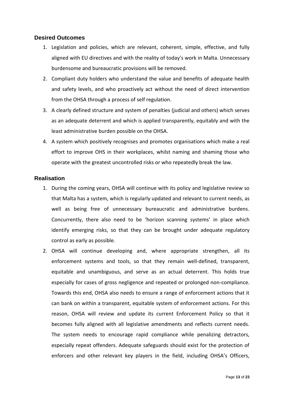#### <span id="page-12-0"></span>**Desired Outcomes**

- 1. Legislation and policies, which are relevant, coherent, simple, effective, and fully aligned with EU directives and with the reality of today's work in Malta. Unnecessary burdensome and bureaucratic provisions will be removed.
- 2. Compliant duty holders who understand the value and benefits of adequate health and safety levels, and who proactively act without the need of direct intervention from the OHSA through a process of self regulation.
- 3. A clearly defined structure and system of penalties (judicial and others) which serves as an adequate deterrent and which is applied transparently, equitably and with the least administrative burden possible on the OHSA.
- 4. A system which positively recognises and promotes organisations which make a real effort to improve OHS in their workplaces, whilst naming and shaming those who operate with the greatest uncontrolled risks or who repeatedly break the law.

#### <span id="page-12-1"></span>**Realisation**

- 1. During the coming years, OHSA will continue with its policy and legislative review so that Malta has a system, which is regularly updated and relevant to current needs, as well as being free of unnecessary bureaucratic and administrative burdens. Concurrently, there also need to be 'horizon scanning systems' in place which identify emerging risks, so that they can be brought under adequate regulatory control as early as possible.
- 2. OHSA will continue developing and, where appropriate strengthen, all its enforcement systems and tools, so that they remain well-defined, transparent, equitable and unambiguous, and serve as an actual deterrent. This holds true especially for cases of gross negligence and repeated or prolonged non-compliance. Towards this end, OHSA also needs to ensure a range of enforcement actions that it can bank on within a transparent, equitable system of enforcement actions. For this reason, OHSA will review and update its current Enforcement Policy so that it becomes fully aligned with all legislative amendments and reflects current needs. The system needs to encourage rapid compliance while penalizing detractors, especially repeat offenders. Adequate safeguards should exist for the protection of enforcers and other relevant key players in the field, including OHSA's Officers,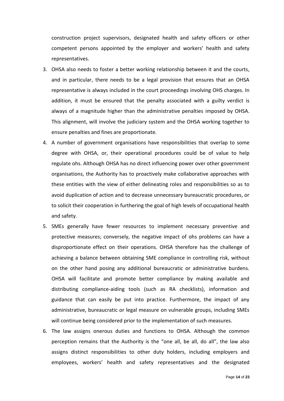construction project supervisors, designated health and safety officers or other competent persons appointed by the employer and workers' health and safety representatives.

- 3. OHSA also needs to foster a better working relationship between it and the courts, and in particular, there needs to be a legal provision that ensures that an OHSA representative is always included in the court proceedings involving OHS charges. In addition, it must be ensured that the penalty associated with a guilty verdict is always of a magnitude higher than the administrative penalties imposed by OHSA. This alignment, will involve the judiciary system and the OHSA working together to ensure penalties and fines are proportionate.
- 4. A number of government organisations have responsibilities that overlap to some degree with OHSA, or, their operational procedures could be of value to help regulate ohs. Although OHSA has no direct influencing power over other government organisations, the Authority has to proactively make collaborative approaches with these entities with the view of either delineating roles and responsibilities so as to avoid duplication of action and to decrease unnecessary bureaucratic procedures, or to solicit their cooperation in furthering the goal of high levels of occupational health and safety.
- 5. SMEs generally have fewer resources to implement necessary preventive and protective measures; conversely, the negative impact of ohs problems can have a disproportionate effect on their operations. OHSA therefore has the challenge of achieving a balance between obtaining SME compliance in controlling risk, without on the other hand posing any additional bureaucratic or administrative burdens. OHSA will facilitate and promote better compliance by making available and distributing compliance-aiding tools (such as RA checklists), information and guidance that can easily be put into practice. Furthermore, the impact of any administrative, bureaucratic or legal measure on vulnerable groups, including SMEs will continue being considered prior to the implementation of such measures.
- 6. The law assigns onerous duties and functions to OHSA. Although the common perception remains that the Authority is the "one all, be all, do all", the law also assigns distinct responsibilities to other duty holders, including employers and employees, workers' health and safety representatives and the designated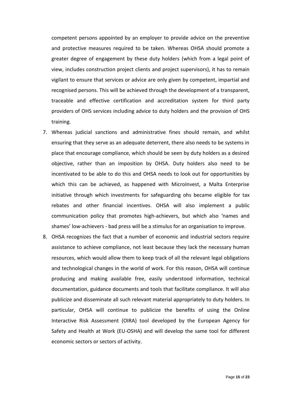competent persons appointed by an employer to provide advice on the preventive and protective measures required to be taken. Whereas OHSA should promote a greater degree of engagement by these duty holders (which from a legal point of view, includes construction project clients and project supervisors), it has to remain vigilant to ensure that services or advice are only given by competent, impartial and recognised persons. This will be achieved through the development of a transparent, traceable and effective certification and accreditation system for third party providers of OHS services including advice to duty holders and the provision of OHS training.

- 7. Whereas judicial sanctions and administrative fines should remain, and whilst ensuring that they serve as an adequate deterrent, there also needs to be systems in place that encourage compliance, which should be seen by duty holders as a desired objective, rather than an imposition by OHSA. Duty holders also need to be incentivated to be able to do this and OHSA needs to look out for opportunities by which this can be achieved, as happened with MicroInvest, a Malta Enterprise initiative through which investments for safeguarding ohs became eligible for tax rebates and other financial incentives. OHSA will also implement a public communication policy that promotes high-achievers, but which also 'names and shames' low-achievers - bad press will be a stimulus for an organisation to improve.
- 8. OHSA recognizes the fact that a number of economic and industrial sectors require assistance to achieve compliance, not least because they lack the necessary human resources, which would allow them to keep track of all the relevant legal obligations and technological changes in the world of work. For this reason, OHSA will continue producing and making available free, easily understood information, technical documentation, guidance documents and tools that facilitate compliance. It will also publicize and disseminate all such relevant material appropriately to duty holders. In particular, OHSA will continue to publicize the benefits of using the Online Interactive Risk Assessment (OIRA) tool developed by the European Agency for Safety and Health at Work (EU-OSHA) and will develop the same tool for different economic sectors or sectors of activity.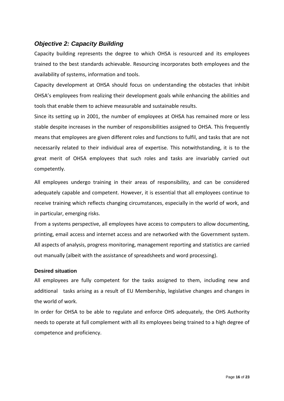## <span id="page-15-0"></span>*Objective 2: Capacity Building*

Capacity building represents the degree to which OHSA is resourced and its employees trained to the best standards achievable. Resourcing incorporates both employees and the availability of systems, information and tools.

[Capacity](http://en.wikipedia.org/wiki/Capacity_development) development at OHSA should focus on understanding the obstacles that inhibit OHSA's employees from realizing their development goals while enhancing the abilities and tools that enable them to achieve measurable and sustainable results.

Since its setting up in 2001, the number of employees at OHSA has remained more or less stable despite increases in the number of responsibilities assigned to OHSA. This frequently means that employees are given different roles and functions to fulfil, and tasks that are not necessarily related to their individual area of expertise. This notwithstanding, it is to the great merit of OHSA employees that such roles and tasks are invariably carried out competently.

All employees undergo training in their areas of responsibility, and can be considered adequately capable and competent. However, it is essential that all employees continue to receive training which reflects changing circumstances, especially in the world of work, and in particular, emerging risks.

From a systems perspective, all employees have access to computers to allow documenting, printing, email access and internet access and are networked with the Government system. All aspects of analysis, progress monitoring, management reporting and statistics are carried out manually (albeit with the assistance of spreadsheets and word processing).

#### <span id="page-15-1"></span>**Desired situation**

All employees are fully competent for the tasks assigned to them, including new and additional tasks arising as a result of EU Membership, legislative changes and changes in the world of work.

In order for OHSA to be able to regulate and enforce OHS adequately, the OHS Authority needs to operate at full complement with all its employees being trained to a high degree of competence and proficiency.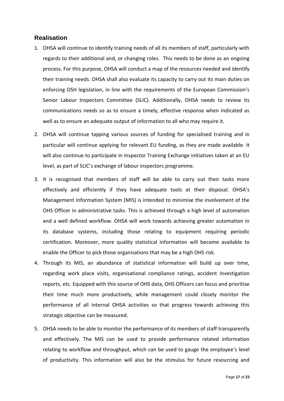#### <span id="page-16-0"></span>**Realisation**

- 1. OHSA will continue to identify training needs of all its members of staff, particularly with regards to their additional and, or changing roles. This needs to be done as an ongoing process. For this purpose, OHSA will conduct a map of the resources needed and identify their training needs. OHSA shall also evaluate its capacity to carry out its main duties on enforcing OSH legislation, in line with the requirements of the European Commission's Senior Labour Inspectors Committee (SLIC). Additionally, OHSA needs to review its communications needs so as to ensure a timely, effective response when indicated as well as to ensure an adequate output of information to all who may require it.
- 2. OHSA will continue tapping various sources of funding for specialised training and in particular will continue applying for relevant EU funding, as they are made available. It will also continue to participate in Inspector Training Exchange initiatives taken at an EU level, as part of SLIC's exchange of labour inspectors programme.
- 3. It is recognised that members of staff will be able to carry out their tasks more effectively and efficiently if they have adequate tools at their disposal. OHSA's Management Information System (MIS) is intended to minimise the involvement of the OHS Officer in administrative tasks. This is achieved through a high level of automation and a well defined workflow. OHSA will work towards achieving greater automation in its database systems, including those relating to equipment requiring periodic certification. Moreover, more quality statistical information will become available to enable the Officer to pick those organisations that may be a high OHS risk.
- 4. Through its MIS, an abundance of statistical information will build up over time, regarding work place visits, organisational compliance ratings, accident investigation reports, etc. Equipped with this source of OHS data, OHS Officers can focus and prioritise their time much more productively, while management could closely monitor the performance of all internal OHSA activities so that progress towards achieving this strategic objective can be measured.
- 5. OHSA needs to be able to monitor the performance of its members of staff transparently and effectively. The MIS can be used to provide performance related information relating to workflow and throughput, which can be used to gauge the employee's level of productivity. This information will also be the stimulus for future resourcing and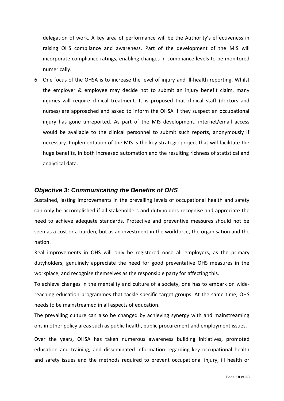delegation of work. A key area of performance will be the Authority's effectiveness in raising OHS compliance and awareness. Part of the development of the MIS will incorporate compliance ratings, enabling changes in compliance levels to be monitored numerically.

6. One focus of the OHSA is to increase the level of injury and ill-health reporting. Whilst the employer & employee may decide not to submit an injury benefit claim, many injuries will require clinical treatment. It is proposed that clinical staff (doctors and nurses) are approached and asked to inform the OHSA if they suspect an occupational injury has gone unreported. As part of the MIS development, internet/email access would be available to the clinical personnel to submit such reports, anonymously if necessary. Implementation of the MIS is the key strategic project that will facilitate the huge benefits, in both increased automation and the resulting richness of statistical and analytical data.

#### <span id="page-17-0"></span>*Objective 3: Communicating the Benefits of OHS*

Sustained, lasting improvements in the prevailing levels of occupational health and safety can only be accomplished if all stakeholders and dutyholders recognise and appreciate the need to achieve adequate standards. Protective and preventive measures should not be seen as a cost or a burden, but as an investment in the workforce, the organisation and the nation.

Real improvements in OHS will only be registered once all employers, as the primary dutyholders, genuinely appreciate the need for good preventative OHS measures in the workplace, and recognise themselves as the responsible party for affecting this.

To achieve changes in the mentality and culture of a society, one has to embark on widereaching education programmes that tackle specific target groups. At the same time, OHS needs to be mainstreamed in all aspects of education.

The prevailing culture can also be changed by achieving synergy with and mainstreaming ohs in other policy areas such as public health, public procurement and employment issues.

Over the years, OHSA has taken numerous awareness building initiatives, promoted education and training, and disseminated information regarding key occupational health and safety issues and the methods required to prevent occupational injury, ill health or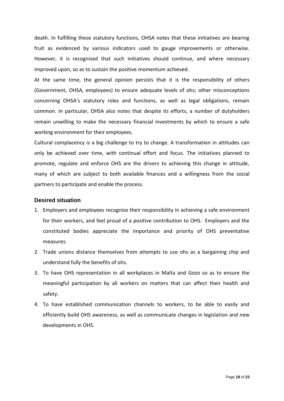death. In fulfilling these statutory functions, OHSA notes that these initiatives are bearing fruit as evidenced by various indicators used to gauge improvements or otherwise. However, it is recognised that such initiatives should continue, and where necessary improved upon, so as to sustain the positive momentum achieved.

At the same time, the general opinion persists that it is the responsibility of others (Government, OHSA, employees) to ensure adequate levels of ohs; other misconceptions concerning OHSA's statutory roles and functions, as well as legal obligations, remain common. In particular, OHSA also notes that despite its efforts, a number of dutyholders remain unwilling to make the necessary financial investments by which to ensure a safe working environment for their employees.

Cultural complacency is a big challenge to try to change. A transformation in attitudes can only be achieved over time, with continual effort and focus. The initiatives planned to promote, regulate and enforce OHS are the drivers to achieving this change in attitude, many of which are subject to both available finances and a willingness from the social partners to participate and enable the process.

#### <span id="page-18-0"></span>**Desired situation**

- 1. Employers and employees recognise their responsibility in achieving a safe environment for their workers, and feel proud of a positive contribution to OHS. Employers and the constituted bodies appreciate the importance and priority of OHS preventative measures.
- 2. Trade unions distance themselves from attempts to use ohs as a bargaining chip and understand fully the benefits of ohs.
- 3. To have OHS representation in all workplaces in Malta and Gozo so as to ensure the meaningful participation by all workers on matters that can affect their health and safety.
- 4. To have established communication channels to workers, to be able to easily and efficiently build OHS awareness, as well as communicate changes in legislation and new developments in OHS.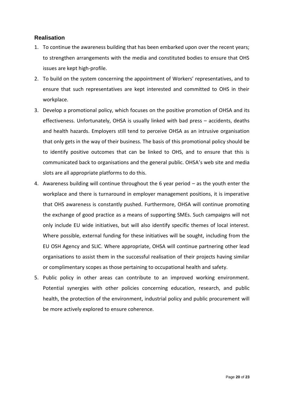#### <span id="page-19-0"></span>**Realisation**

- 1. To continue the awareness building that has been embarked upon over the recent years; to strengthen arrangements with the media and constituted bodies to ensure that OHS issues are kept high-profile.
- 2. To build on the system concerning the appointment of Workers' representatives, and to ensure that such representatives are kept interested and committed to OHS in their workplace.
- 3. Develop a promotional policy, which focuses on the positive promotion of OHSA and its effectiveness. Unfortunately, OHSA is usually linked with bad press – accidents, deaths and health hazards. Employers still tend to perceive OHSA as an intrusive organisation that only gets in the way of their business. The basis of this promotional policy should be to identify positive outcomes that can be linked to OHS, and to ensure that this is communicated back to organisations and the general public. OHSA's web site and media slots are all appropriate platforms to do this.
- 4. Awareness building will continue throughout the 6 year period as the youth enter the workplace and there is turnaround in employer management positions, it is imperative that OHS awareness is constantly pushed. Furthermore, OHSA will continue promoting the exchange of good practice as a means of supporting SMEs. Such campaigns will not only include EU wide initiatives, but will also identify specific themes of local interest. Where possible, external funding for these initiatives will be sought, including from the EU OSH Agency and SLIC. Where appropriate, OHSA will continue partnering other lead organisations to assist them in the successful realisation of their projects having similar or complimentary scopes as those pertaining to occupational health and safety.
- 5. Public policy in other areas can contribute to an improved working environment. Potential synergies with other policies concerning education, research, and public health, the protection of the environment, industrial policy and public procurement will be more actively explored to ensure coherence.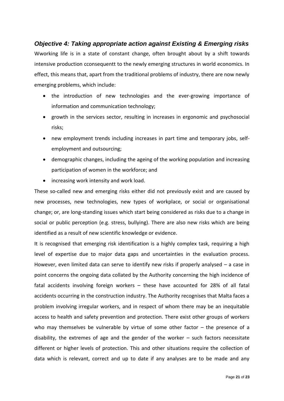## <span id="page-20-0"></span>*Objective 4: Taking appropriate action against Existing & Emerging risks* Wworking life is in a state of constant change, often brought about by a shift towards intensive production cconsequentt to the newly emerging structures in world economics. In effect, this means that, apart from the traditional problems of industry, there are now newly emerging problems, which include:

- the introduction of new technologies and the ever-growing importance of information and communication technology;
- growth in the services sector, resulting in increases in ergonomic and psychosocial risks;
- new employment trends including increases in part time and temporary jobs, selfemployment and outsourcing;
- demographic changes, including the ageing of the working population and increasing participation of women in the workforce; and
- increasing work intensity and work load.

These so-called new and emerging risks either did not previously exist and are caused by new processes, new technologies, new types of workplace, or social or organisational change; or, are long-standing issues which start being considered as risks due to a change in social or public perception (e.g. stress, bullying). There are also new risks which are being identified as a result of new scientific knowledge or evidence.

It is recognised that emerging risk identification is a highly complex task, requiring a high level of expertise due to major data gaps and uncertainties in the evaluation process. However, even limited data can serve to identify new risks if properly analysed – a case in point concerns the ongoing data collated by the Authority concerning the high incidence of fatal accidents involving foreign workers – these have accounted for 28% of all fatal accidents occurring in the construction industry. The Authority recognises that Malta faces a problem involving irregular workers, and in respect of whom there may be an inequitable access to health and safety prevention and protection. There exist other groups of workers who may themselves be vulnerable by virtue of some other factor – the presence of a disability, the extremes of age and the gender of the worker  $-$  such factors necessitate different or higher levels of protection. This and other situations require the collection of data which is relevant, correct and up to date if any analyses are to be made and any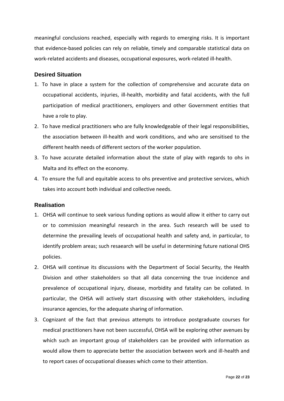meaningful conclusions reached, especially with regards to emerging risks. It is important that evidence-based policies can rely on reliable, timely and comparable statistical data on work-related accidents and diseases, occupational exposures, work-related ill-health.

#### <span id="page-21-0"></span>**Desired Situation**

- 1. To have in place a system for the collection of comprehensive and accurate data on occupational accidents, injuries, ill-health, morbidity and fatal accidents, with the full participation of medical practitioners, employers and other Government entities that have a role to play.
- 2. To have medical practitioners who are fully knowledgeable of their legal responsibilities, the association between ill-health and work conditions, and who are sensitised to the different health needs of different sectors of the worker population.
- 3. To have accurate detailed information about the state of play with regards to ohs in Malta and its effect on the economy.
- 4. To ensure the full and equitable access to ohs preventive and protective services, which takes into account both individual and collective needs.

#### <span id="page-21-1"></span>**Realisation**

- 1. OHSA will continue to seek various funding options as would allow it either to carry out or to commission meaningful research in the area. Such research will be used to determine the prevailing levels of occupational health and safety and, in particular, to identify problem areas; such resaearch will be useful in determining future national OHS policies.
- 2. OHSA will continue its discussions with the Department of Social Security, the Health Division and other stakeholders so that all data concerning the true incidence and prevalence of occupational injury, disease, morbidity and fatality can be collated. In particular, the OHSA will actively start discussing with other stakeholders, including insurance agencies, for the adequate sharing of information.
- 3. Cognizant of the fact that previous attempts to introduce postgraduate courses for medical practitioners have not been successful, OHSA will be exploring other avenues by which such an important group of stakeholders can be provided with information as would allow them to appreciate better the association between work and ill-health and to report cases of occupational diseases which come to their attention.